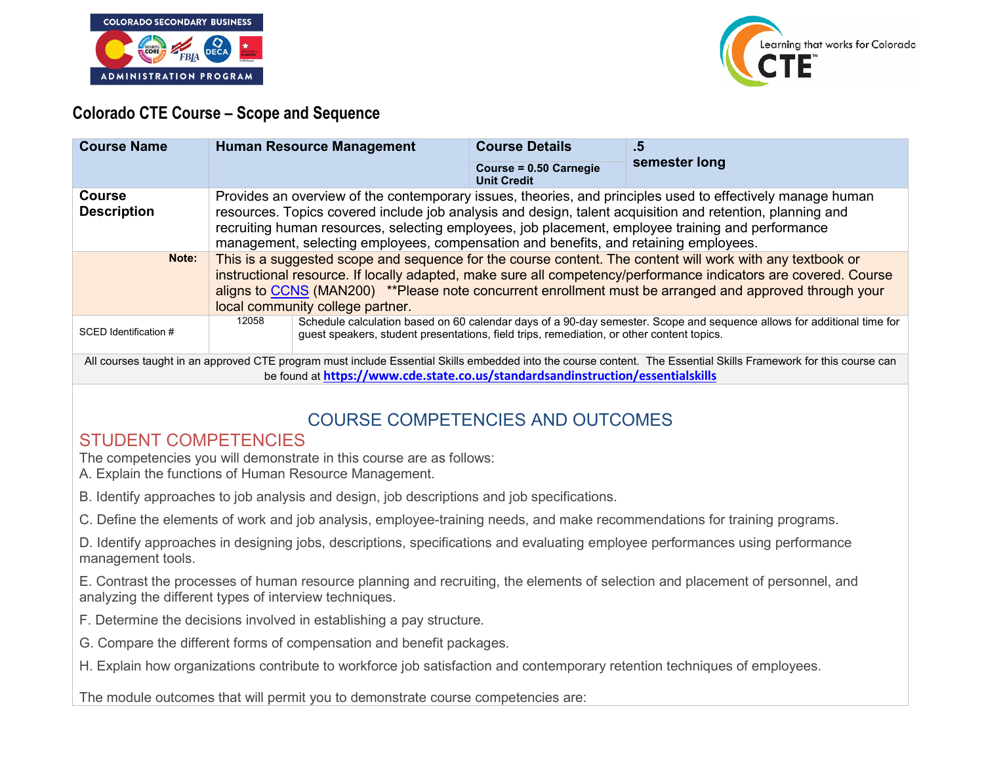



### **Colorado CTE Course – Scope and Sequence**

| <b>Course Name</b>                                                                                                                                                                                                                                  | <b>Human Resource Management</b>                                                                                                                                                                                                                                                                                                                                                                                     |                                                                                           | <b>Course Details</b>                        | .5                                                                                                                     |
|-----------------------------------------------------------------------------------------------------------------------------------------------------------------------------------------------------------------------------------------------------|----------------------------------------------------------------------------------------------------------------------------------------------------------------------------------------------------------------------------------------------------------------------------------------------------------------------------------------------------------------------------------------------------------------------|-------------------------------------------------------------------------------------------|----------------------------------------------|------------------------------------------------------------------------------------------------------------------------|
|                                                                                                                                                                                                                                                     |                                                                                                                                                                                                                                                                                                                                                                                                                      |                                                                                           | Course = 0.50 Carnegie<br><b>Unit Credit</b> | semester long                                                                                                          |
| <b>Course</b><br><b>Description</b>                                                                                                                                                                                                                 | Provides an overview of the contemporary issues, theories, and principles used to effectively manage human<br>resources. Topics covered include job analysis and design, talent acquisition and retention, planning and<br>recruiting human resources, selecting employees, job placement, employee training and performance<br>management, selecting employees, compensation and benefits, and retaining employees. |                                                                                           |                                              |                                                                                                                        |
| Note:                                                                                                                                                                                                                                               | This is a suggested scope and sequence for the course content. The content will work with any textbook or<br>instructional resource. If locally adapted, make sure all competency/performance indicators are covered. Course<br>aligns to CCNS (MAN200) **Please note concurrent enrollment must be arranged and approved through your<br>local community college partner.                                           |                                                                                           |                                              |                                                                                                                        |
| SCED Identification #                                                                                                                                                                                                                               | 12058                                                                                                                                                                                                                                                                                                                                                                                                                | guest speakers, student presentations, field trips, remediation, or other content topics. |                                              | Schedule calculation based on 60 calendar days of a 90-day semester. Scope and sequence allows for additional time for |
| All courses taught in an approved CTE program must include Essential Skills embedded into the course content. The Essential Skills Framework for this course can<br>be found at https://www.cde.state.co.us/standardsandinstruction/essentialskills |                                                                                                                                                                                                                                                                                                                                                                                                                      |                                                                                           |                                              |                                                                                                                        |

## COURSE COMPETENCIES AND OUTCOMES

## STUDENT COMPETENCIES

The competencies you will demonstrate in this course are as follows:

A. Explain the functions of Human Resource Management.

B. Identify approaches to job analysis and design, job descriptions and job specifications.

C. Define the elements of work and job analysis, employee-training needs, and make recommendations for training programs.

D. Identify approaches in designing jobs, descriptions, specifications and evaluating employee performances using performance management tools.

E. Contrast the processes of human resource planning and recruiting, the elements of selection and placement of personnel, and analyzing the different types of interview techniques.

F. Determine the decisions involved in establishing a pay structure.

G. Compare the different forms of compensation and benefit packages.

H. Explain how organizations contribute to workforce job satisfaction and contemporary retention techniques of employees.

The module outcomes that will permit you to demonstrate course competencies are: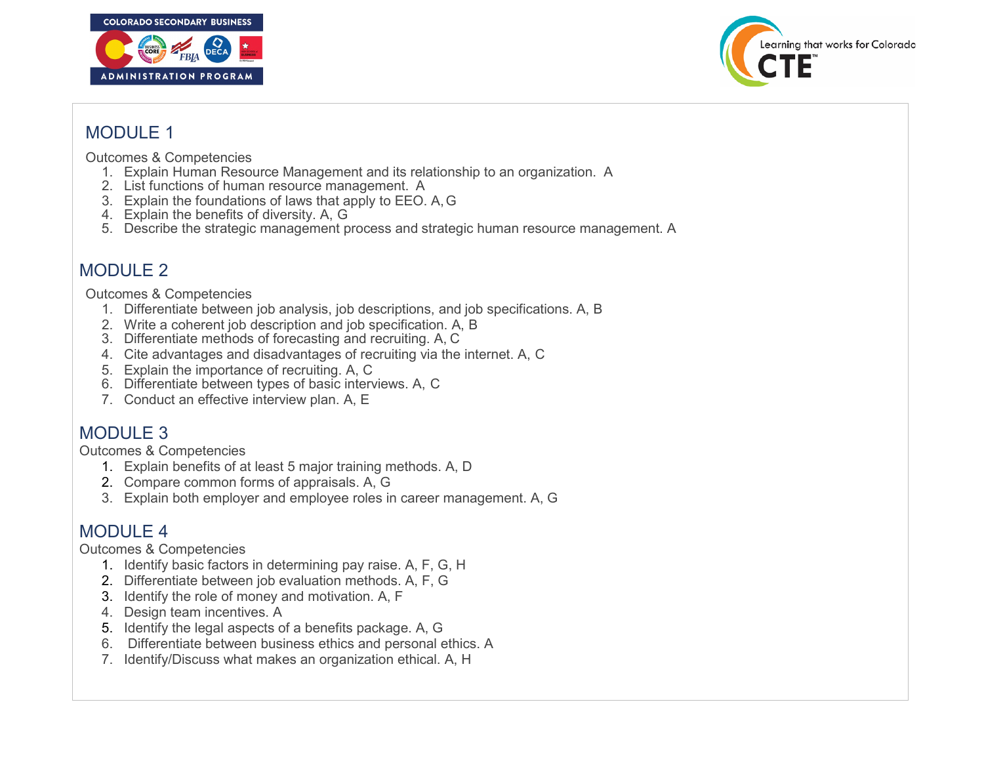



## MODULE 1

Outcomes & Competencies

- 1. Explain Human Resource Management and its relationship to an organization. A
- 2. List functions of human resource management. A
- 3. Explain the foundations of laws that apply to EEO. A,G
- 4. Explain the benefits of diversity. A, G
- 5. Describe the strategic management process and strategic human resource management. A

# MODULE 2

Outcomes & Competencies

- 1. Differentiate between job analysis, job descriptions, and job specifications. A, B
- 2. Write a coherent job description and job specification. A, B
- 3. Differentiate methods of forecasting and recruiting. A, C
- 4. Cite advantages and disadvantages of recruiting via the internet. A, C
- 5. Explain the importance of recruiting. A, C
- 6. Differentiate between types of basic interviews. A, C
- 7. Conduct an effective interview plan. A, E

## MODULE 3

Outcomes & Competencies

- 1. Explain benefits of at least 5 major training methods. A, D
- 2. Compare common forms of appraisals. A, G
- 3. Explain both employer and employee roles in career management. A, G

## MODULE 4

Outcomes & Competencies

- 1. Identify basic factors in determining pay raise. A, F, G, H
- 2. Differentiate between job evaluation methods. A, F, G
- 3. Identify the role of money and motivation. A, F
- 4. Design team incentives. A
- 5. Identify the legal aspects of a benefits package. A, G
- 6. Differentiate between business ethics and personal ethics. A
- 7. Identify/Discuss what makes an organization ethical. A, H